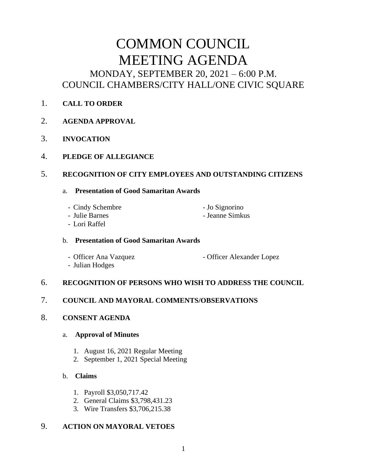# COMMON COUNCIL MEETING AGENDA MONDAY, SEPTEMBER 20, 2021 – 6:00 P.M. COUNCIL CHAMBERS/CITY HALL/ONE CIVIC SQUARE

- 1. **CALL TO ORDER**
- 2. **AGENDA APPROVAL**
- 3. **INVOCATION**
- 4. **PLEDGE OF ALLEGIANCE**

# 5. **RECOGNITION OF CITY EMPLOYEES AND OUTSTANDING CITIZENS**

# a. **Presentation of Good Samaritan Awards**

- Cindy Schembre - Jo Signorino

- Julie Barnes Jeanne Simkus
- Lori Raffel

# b. **Presentation of Good Samaritan Awards**

- Officer Ana Vazquez Officer Alexander Lopez
- Julian Hodges

# 6. **RECOGNITION OF PERSONS WHO WISH TO ADDRESS THE COUNCIL**

# 7. **COUNCIL AND MAYORAL COMMENTS/OBSERVATIONS**

# 8. **CONSENT AGENDA**

# a. **Approval of Minutes**

- 1. August 16, 2021 Regular Meeting
- 2. September 1, 2021 Special Meeting

# b. **Claims**

- 1. Payroll \$3,050,717.42
- 2. General Claims \$3,798,431.23
- 3. Wire Transfers \$3,706,215.38

# 9. **ACTION ON MAYORAL VETOES**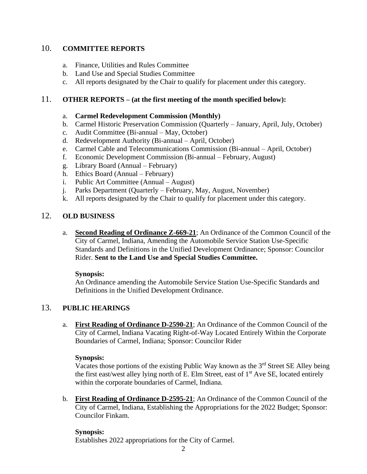# 10. **COMMITTEE REPORTS**

- a. Finance, Utilities and Rules Committee
- b. Land Use and Special Studies Committee
- c. All reports designated by the Chair to qualify for placement under this category.

### 11. **OTHER REPORTS – (at the first meeting of the month specified below):**

#### a. **Carmel Redevelopment Commission (Monthly)**

- b. Carmel Historic Preservation Commission (Quarterly January, April, July, October)
- c. Audit Committee (Bi-annual May, October)
- d. Redevelopment Authority (Bi-annual April, October)
- e. Carmel Cable and Telecommunications Commission (Bi-annual April, October)
- f. Economic Development Commission (Bi-annual February, August)
- g. Library Board (Annual February)
- h. Ethics Board (Annual February)
- i. Public Art Committee (Annual August)
- j. Parks Department (Quarterly February, May, August, November)
- k. All reports designated by the Chair to qualify for placement under this category.

#### 12. **OLD BUSINESS**

a. **Second Reading of Ordinance Z-669-21**; An Ordinance of the Common Council of the City of Carmel, Indiana, Amending the Automobile Service Station Use-Specific Standards and Definitions in the Unified Development Ordinance; Sponsor: Councilor Rider. **Sent to the Land Use and Special Studies Committee.**

#### **Synopsis:**

An Ordinance amending the Automobile Service Station Use-Specific Standards and Definitions in the Unified Development Ordinance.

# 13. **PUBLIC HEARINGS**

a. **First Reading of Ordinance D-2590-21**; An Ordinance of the Common Council of the City of Carmel, Indiana Vacating Right-of-Way Located Entirely Within the Corporate Boundaries of Carmel, Indiana; Sponsor: Councilor Rider

#### **Synopsis:**

Vacates those portions of the existing Public Way known as the 3<sup>rd</sup> Street SE Alley being the first east/west alley lying north of E. Elm Street, east of  $1<sup>st</sup>$  Ave SE, located entirely within the corporate boundaries of Carmel, Indiana.

b. **First Reading of Ordinance D-2595-21**; An Ordinance of the Common Council of the City of Carmel, Indiana, Establishing the Appropriations for the 2022 Budget; Sponsor: Councilor Finkam.

# **Synopsis:**

Establishes 2022 appropriations for the City of Carmel.